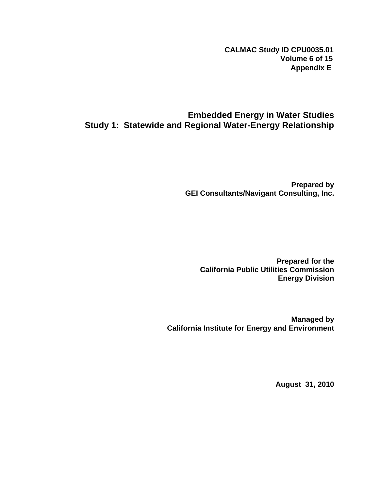**CALMAC Study ID CPU0035.01 Volume 6 of 15 Appendix E**

## **Embedded Energy in Water Studies Study 1: Statewide and Regional Water-Energy Relationship**

**Prepared by GEI Consultants/Navigant Consulting, Inc.** 

**Prepared for the California Public Utilities Commission Energy Division** 

**Managed by California Institute for Energy and Environment** 

**August 31, 2010**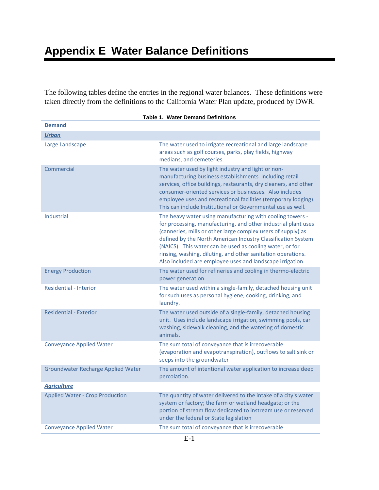The following tables define the entries in the regional water balances. These definitions were taken directly from the definitions to the California Water Plan update, produced by DWR.

| <b>Demand</b>                             |                                                                                                                                                                                                                                                                                                                                                                                                                                                      |
|-------------------------------------------|------------------------------------------------------------------------------------------------------------------------------------------------------------------------------------------------------------------------------------------------------------------------------------------------------------------------------------------------------------------------------------------------------------------------------------------------------|
| <b>Urban</b>                              |                                                                                                                                                                                                                                                                                                                                                                                                                                                      |
| Large Landscape                           | The water used to irrigate recreational and large landscape<br>areas such as golf courses, parks, play fields, highway<br>medians, and cemeteries.                                                                                                                                                                                                                                                                                                   |
| Commercial                                | The water used by light industry and light or non-<br>manufacturing business establishments including retail<br>services, office buildings, restaurants, dry cleaners, and other<br>consumer-oriented services or businesses. Also includes<br>employee uses and recreational facilities (temporary lodging).<br>This can include Institutional or Governmental use as well.                                                                         |
| <b>Industrial</b>                         | The heavy water using manufacturing with cooling towers -<br>for processing, manufacturing, and other industrial plant uses<br>(canneries, mills or other large complex users of supply) as<br>defined by the North American Industry Classification System<br>(NAICS). This water can be used as cooling water, or for<br>rinsing, washing, diluting, and other sanitation operations.<br>Also included are employee uses and landscape irrigation. |
| <b>Energy Production</b>                  | The water used for refineries and cooling in thermo-electric<br>power generation.                                                                                                                                                                                                                                                                                                                                                                    |
| <b>Residential - Interior</b>             | The water used within a single-family, detached housing unit<br>for such uses as personal hygiene, cooking, drinking, and<br>laundry.                                                                                                                                                                                                                                                                                                                |
| <b>Residential - Exterior</b>             | The water used outside of a single-family, detached housing<br>unit. Uses include landscape irrigation, swimming pools, car<br>washing, sidewalk cleaning, and the watering of domestic<br>animals.                                                                                                                                                                                                                                                  |
| <b>Conveyance Applied Water</b>           | The sum total of conveyance that is irrecoverable<br>(evaporation and evapotranspiration), outflows to salt sink or<br>seeps into the groundwater                                                                                                                                                                                                                                                                                                    |
| <b>Groundwater Recharge Applied Water</b> | The amount of intentional water application to increase deep<br>percolation.                                                                                                                                                                                                                                                                                                                                                                         |
| <b>Agriculture</b>                        |                                                                                                                                                                                                                                                                                                                                                                                                                                                      |
| <b>Applied Water - Crop Production</b>    | The quantity of water delivered to the intake of a city's water<br>system or factory; the farm or wetland headgate; or the<br>portion of stream flow dedicated to instream use or reserved<br>under the federal or State legislation                                                                                                                                                                                                                 |
| <b>Conveyance Applied Water</b>           | The sum total of conveyance that is irrecoverable                                                                                                                                                                                                                                                                                                                                                                                                    |

## **Table 1. Water Demand Definitions**

E-1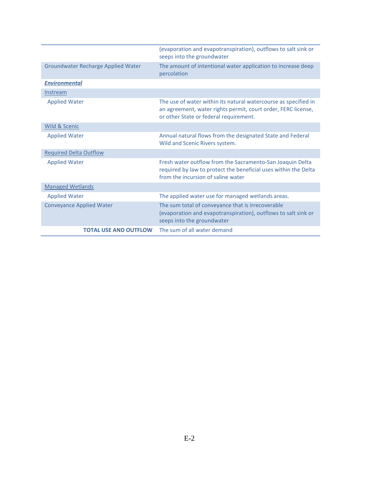|                                           | (evaporation and evapotranspiration), outflows to salt sink or<br>seeps into the groundwater                                                                               |
|-------------------------------------------|----------------------------------------------------------------------------------------------------------------------------------------------------------------------------|
| <b>Groundwater Recharge Applied Water</b> | The amount of intentional water application to increase deep<br>percolation                                                                                                |
| <b>Environmental</b>                      |                                                                                                                                                                            |
| Instream                                  |                                                                                                                                                                            |
| <b>Applied Water</b>                      | The use of water within its natural watercourse as specified in<br>an agreement, water rights permit, court order, FERC license,<br>or other State or federal requirement. |
| <b>Wild &amp; Scenic</b>                  |                                                                                                                                                                            |
| <b>Applied Water</b>                      | Annual natural flows from the designated State and Federal<br>Wild and Scenic Rivers system.                                                                               |
| <b>Required Delta Outflow</b>             |                                                                                                                                                                            |
| <b>Applied Water</b>                      | Fresh water outflow from the Sacramento-San Joaquin Delta<br>required by law to protect the beneficial uses within the Delta<br>from the incursion of saline water         |
| <b>Managed Wetlands</b>                   |                                                                                                                                                                            |
| <b>Applied Water</b>                      | The applied water use for managed wetlands areas.                                                                                                                          |
| <b>Conveyance Applied Water</b>           | The sum total of conveyance that is irrecoverable<br>(evaporation and evapotranspiration), outflows to salt sink or<br>seeps into the groundwater                          |
| <b>TOTAL USE AND OUTFLOW</b>              | The sum of all water demand                                                                                                                                                |